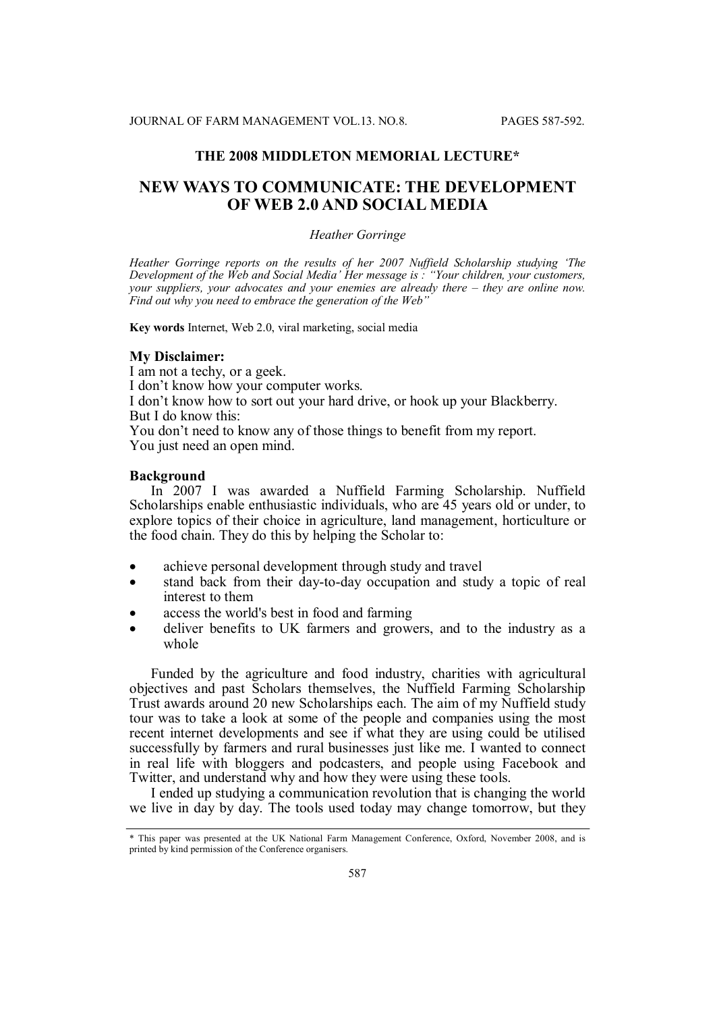# **THE 2008 MIDDLETON MEMORIAL LECTURE\***

# **NEW WAYS TO COMMUNICATE: THE DEVELOPMENT OF WEB 2.0 AND SOCIAL MEDIA**

### *Heather Gorringe*

*Heather Gorringe reports on the results of her 2007 Nuffield Scholarship studying 'The Development of the Web and Social Media' Her message is : "Your children, your customers, your suppliers, your advocates and your enemies are already there – they are online now. Find out why you need to embrace the generation of the Web"*

**Key words** Internet, Web 2.0, viral marketing, social media

#### **My Disclaimer:**

I am not a techy, or a geek. I don't know how your computer works. I don't know how to sort out your hard drive, or hook up your Blackberry. But I do know this: You don't need to know any of those things to benefit from my report. You just need an open mind.

#### **Background**

In 2007 I was awarded a Nuffield Farming Scholarship. Nuffield Scholarships enable enthusiastic individuals, who are 45 years old or under, to explore topics of their choice in agriculture, land management, horticulture or the food chain. They do this by helping the Scholar to:

- achieve personal development through study and travel
- stand back from their day-to-day occupation and study a topic of real interest to them
- access the world's best in food and farming
- deliver benefits to UK farmers and growers, and to the industry as a whole

Funded by the agriculture and food industry, charities with agricultural objectives and past Scholars themselves, the Nuffield Farming Scholarship Trust awards around 20 new Scholarships each. The aim of my Nuffield study tour was to take a look at some of the people and companies using the most recent internet developments and see if what they are using could be utilised successfully by farmers and rural businesses just like me. I wanted to connect in real life with bloggers and podcasters, and people using Facebook and Twitter, and understand why and how they were using these tools.

I ended up studying a communication revolution that is changing the world we live in day by day. The tools used today may change tomorrow, but they

<sup>\*</sup> This paper was presented at the UK National Farm Management Conference, Oxford, November 2008, and is printed by kind permission of the Conference organisers.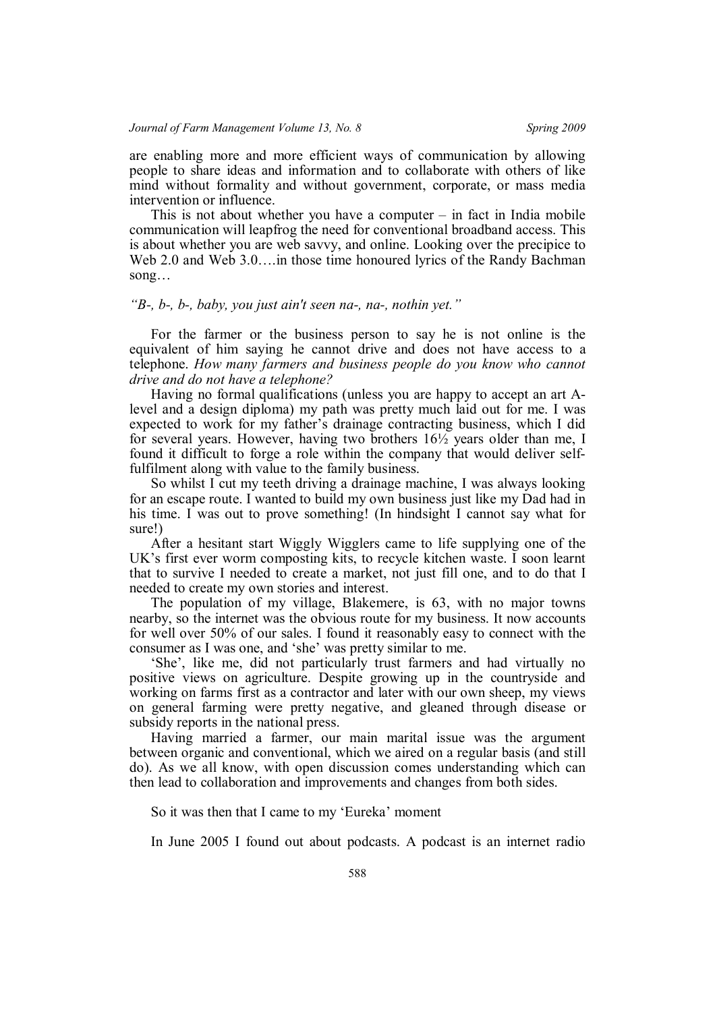are enabling more and more efficient ways of communication by allowing people to share ideas and information and to collaborate with others of like mind without formality and without government, corporate, or mass media intervention or influence.

This is not about whether you have a computer  $-$  in fact in India mobile communication will leapfrog the need for conventional broadband access. This is about whether you are web savvy, and online. Looking over the precipice to Web 2.0 and Web 3.0….in those time honoured lyrics of the Randy Bachman song…

### *"B-, b-, b-, baby, you just ain't seen na-, na-, nothin yet."*

For the farmer or the business person to say he is not online is the equivalent of him saying he cannot drive and does not have access to a telephone. *How many farmers and business people do you know who cannot drive and do not have a telephone?*

Having no formal qualifications (unless you are happy to accept an art Alevel and a design diploma) my path was pretty much laid out for me. I was expected to work for my father's drainage contracting business, which I did for several years. However, having two brothers 16½ years older than me, I found it difficult to forge a role within the company that would deliver selffulfilment along with value to the family business.

So whilst I cut my teeth driving a drainage machine, I was always looking for an escape route. I wanted to build my own business just like my Dad had in his time. I was out to prove something! (In hindsight I cannot say what for sure!)

After a hesitant start Wiggly Wigglers came to life supplying one of the UK's first ever worm composting kits, to recycle kitchen waste. I soon learnt that to survive I needed to create a market, not just fill one, and to do that I needed to create my own stories and interest.

The population of my village, Blakemere, is 63, with no major towns nearby, so the internet was the obvious route for my business. It now accounts for well over 50% of our sales. I found it reasonably easy to connect with the consumer as I was one, and 'she' was pretty similar to me.

'She', like me, did not particularly trust farmers and had virtually no positive views on agriculture. Despite growing up in the countryside and working on farms first as a contractor and later with our own sheep, my views on general farming were pretty negative, and gleaned through disease or subsidy reports in the national press.

Having married a farmer, our main marital issue was the argument between organic and conventional, which we aired on a regular basis (and still do). As we all know, with open discussion comes understanding which can then lead to collaboration and improvements and changes from both sides.

So it was then that I came to my 'Eureka' moment

In June 2005 I found out about podcasts. A podcast is an internet radio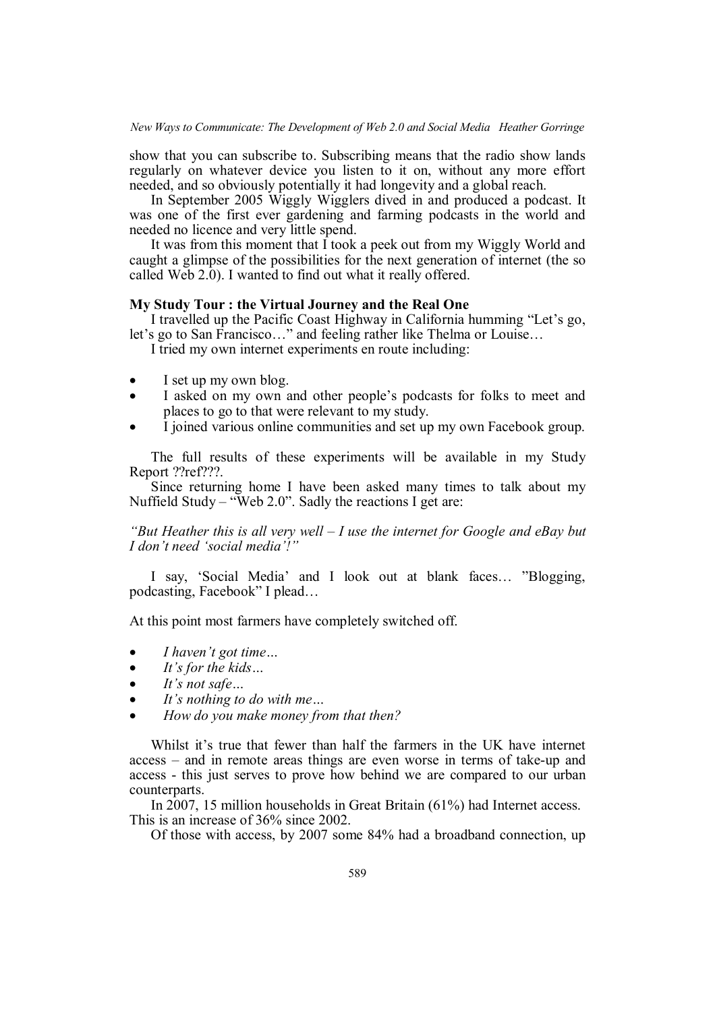show that you can subscribe to. Subscribing means that the radio show lands regularly on whatever device you listen to it on, without any more effort needed, and so obviously potentially it had longevity and a global reach.

In September 2005 Wiggly Wigglers dived in and produced a podcast. It was one of the first ever gardening and farming podcasts in the world and needed no licence and very little spend.

It was from this moment that I took a peek out from my Wiggly World and caught a glimpse of the possibilities for the next generation of internet (the so called Web 2.0). I wanted to find out what it really offered.

## **My Study Tour : the Virtual Journey and the Real One**

I travelled up the Pacific Coast Highway in California humming "Let's go, let's go to San Francisco…" and feeling rather like Thelma or Louise…

I tried my own internet experiments en route including:

- I set up my own blog.
- I asked on my own and other people's podcasts for folks to meet and places to go to that were relevant to my study.
- I joined various online communities and set up my own Facebook group.

The full results of these experiments will be available in my Study Report ??ref???.

Since returning home I have been asked many times to talk about my Nuffield Study – "Web 2.0". Sadly the reactions I get are:

## *"But Heather this is all very well – I use the internet for Google and eBay but I don't need 'social media'!"*

I say, 'Social Media' and I look out at blank faces… "Blogging, podcasting, Facebook" I plead…

At this point most farmers have completely switched off.

- *I haven't got time…*
- *It's for the kids…*
- *It's not safe…*
- *It's nothing to do with me…*
- *How do you make money from that then?*

Whilst it's true that fewer than half the farmers in the UK have internet access – and in remote areas things are even worse in terms of take-up and access - this just serves to prove how behind we are compared to our urban counterparts.

In 2007, 15 million households in Great Britain (61%) had Internet access. This is an increase of 36% since 2002.

Of those with access, by 2007 some 84% had a broadband connection, up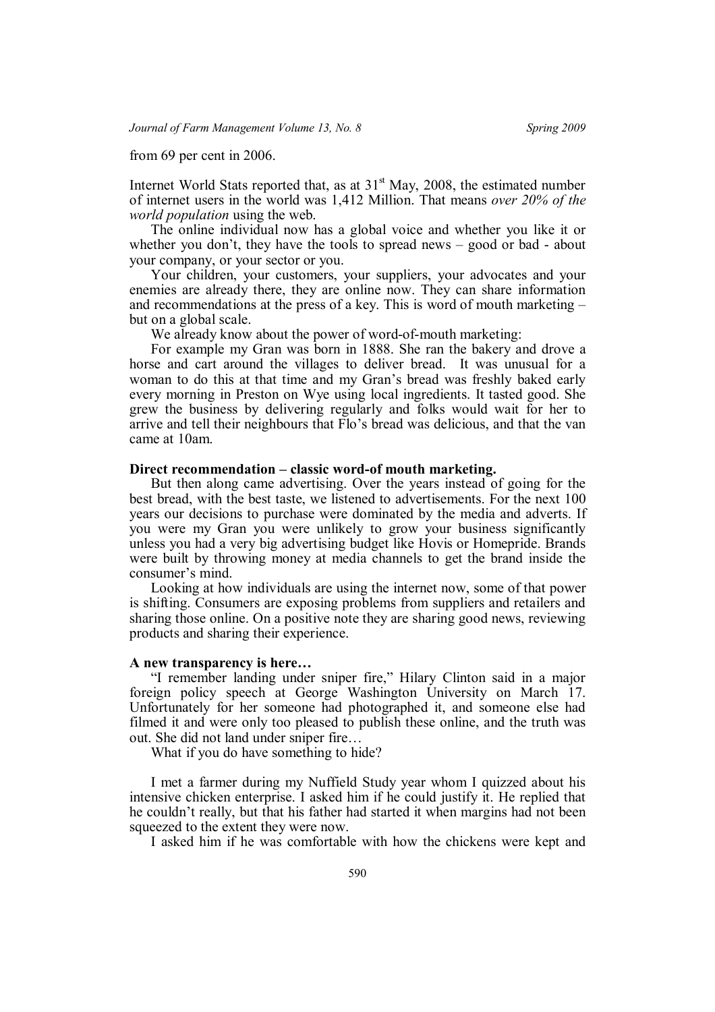from 69 per cent in 2006.

Internet World Stats reported that, as at  $31<sup>st</sup>$  May, 2008, the estimated number of internet users in the world was 1,412 Million. That means *over 20% of the world population* using the web.

The online individual now has a global voice and whether you like it or whether you don't, they have the tools to spread news – good or bad - about your company, or your sector or you.

Your children, your customers, your suppliers, your advocates and your enemies are already there, they are online now. They can share information and recommendations at the press of a key. This is word of mouth marketing – but on a global scale.

We already know about the power of word-of-mouth marketing:

For example my Gran was born in 1888. She ran the bakery and drove a horse and cart around the villages to deliver bread. It was unusual for a woman to do this at that time and my Gran's bread was freshly baked early every morning in Preston on Wye using local ingredients. It tasted good. She grew the business by delivering regularly and folks would wait for her to arrive and tell their neighbours that Flo's bread was delicious, and that the van came at 10am.

### **Direct recommendation – classic word-of mouth marketing.**

But then along came advertising. Over the years instead of going for the best bread, with the best taste, we listened to advertisements. For the next 100 years our decisions to purchase were dominated by the media and adverts. If you were my Gran you were unlikely to grow your business significantly unless you had a very big advertising budget like Hovis or Homepride. Brands were built by throwing money at media channels to get the brand inside the consumer's mind.

Looking at how individuals are using the internet now, some of that power is shifting. Consumers are exposing problems from suppliers and retailers and sharing those online. On a positive note they are sharing good news, reviewing products and sharing their experience.

### **A new transparency is here…**

"I remember landing under sniper fire," Hilary Clinton said in a major foreign policy speech at George Washington University on March 17. Unfortunately for her someone had photographed it, and someone else had filmed it and were only too pleased to publish these online, and the truth was out. She did not land under sniper fire…

What if you do have something to hide?

I met a farmer during my Nuffield Study year whom I quizzed about his intensive chicken enterprise. I asked him if he could justify it. He replied that he couldn't really, but that his father had started it when margins had not been squeezed to the extent they were now.

I asked him if he was comfortable with how the chickens were kept and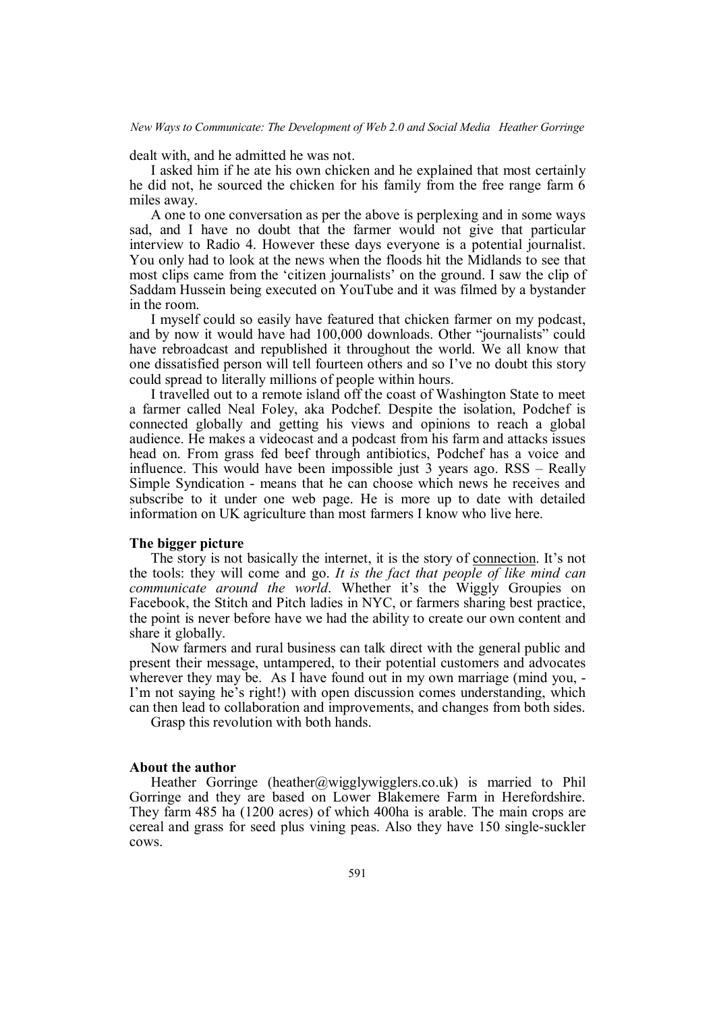*New Ways to Communicate: The Development of Web 2.0 and Social Media Heather Gorringe*

dealt with, and he admitted he was not.

I asked him if he ate his own chicken and he explained that most certainly he did not, he sourced the chicken for his family from the free range farm 6 miles away.

A one to one conversation as per the above is perplexing and in some ways sad, and I have no doubt that the farmer would not give that particular interview to Radio 4. However these days everyone is a potential journalist. You only had to look at the news when the floods hit the Midlands to see that most clips came from the 'citizen journalists' on the ground. I saw the clip of Saddam Hussein being executed on YouTube and it was filmed by a bystander in the room.

I myself could so easily have featured that chicken farmer on my podcast, and by now it would have had 100,000 downloads. Other "journalists" could have rebroadcast and republished it throughout the world. We all know that one dissatisfied person will tell fourteen others and so I've no doubt this story could spread to literally millions of people within hours.

I travelled out to a remote island off the coast of Washington State to meet a farmer called Neal Foley, aka Podchef. Despite the isolation, Podchef is connected globally and getting his views and opinions to reach a global audience. He makes a videocast and a podcast from his farm and attacks issues head on. From grass fed beef through antibiotics, Podchef has a voice and influence. This would have been impossible just 3 years ago. RSS – Really Simple Syndication - means that he can choose which news he receives and subscribe to it under one web page. He is more up to date with detailed information on UK agriculture than most farmers I know who live here.

## **The bigger picture**

The story is not basically the internet, it is the story of connection. It's not the tools: they will come and go. *It is the fact that people of like mind can communicate around the world*. Whether it's the Wiggly Groupies on Facebook, the Stitch and Pitch ladies in NYC, or farmers sharing best practice, the point is never before have we had the ability to create our own content and share it globally.

Now farmers and rural business can talk direct with the general public and present their message, untampered, to their potential customers and advocates wherever they may be. As I have found out in my own marriage (mind you, -I'm not saying he's right!) with open discussion comes understanding, which can then lead to collaboration and improvements, and changes from both sides.

Grasp this revolution with both hands.

#### **About the author**

Heather Gorringe (heather@wigglywigglers.co.uk) is married to Phil Gorringe and they are based on Lower Blakemere Farm in Herefordshire. They farm 485 ha (1200 acres) of which 400ha is arable. The main crops are cereal and grass for seed plus vining peas. Also they have 150 single-suckler cows.